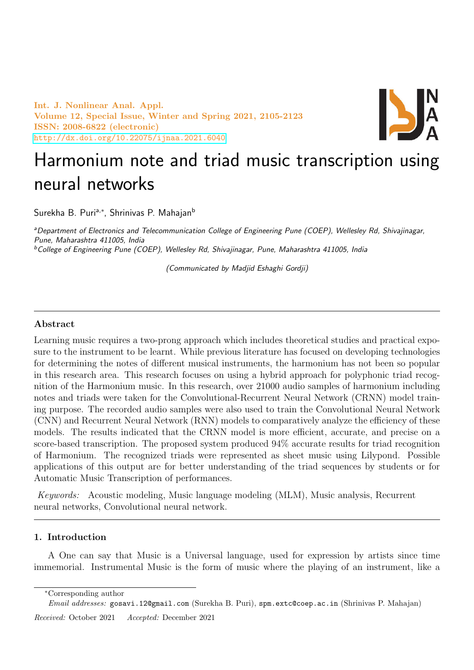Int. J. Nonlinear Anal. Appl. Volume 12, Special Issue, Winter and Spring 2021, 2105-2123 ISSN: 2008-6822 (electronic) <http://dx.doi.org/10.22075/ijnaa.2021.6040>



# Harmonium note and triad music transcription using neural networks

Surekha B. Puriª,\*, Shrinivas P. Mahajan<sup>b</sup>

<sup>a</sup>Department of Electronics and Telecommunication College of Engineering Pune (COEP), Wellesley Rd, Shivajinagar, Pune, Maharashtra 411005, India <sup>b</sup>College of Engineering Pune (COEP), Wellesley Rd, Shivajinagar, Pune, Maharashtra 411005, India

(Communicated by Madjid Eshaghi Gordji)

## Abstract

Learning music requires a two-prong approach which includes theoretical studies and practical exposure to the instrument to be learnt. While previous literature has focused on developing technologies for determining the notes of different musical instruments, the harmonium has not been so popular in this research area. This research focuses on using a hybrid approach for polyphonic triad recognition of the Harmonium music. In this research, over 21000 audio samples of harmonium including notes and triads were taken for the Convolutional-Recurrent Neural Network (CRNN) model training purpose. The recorded audio samples were also used to train the Convolutional Neural Network (CNN) and Recurrent Neural Network (RNN) models to comparatively analyze the efficiency of these models. The results indicated that the CRNN model is more efficient, accurate, and precise on a score-based transcription. The proposed system produced 94% accurate results for triad recognition of Harmonium. The recognized triads were represented as sheet music using Lilypond. Possible applications of this output are for better understanding of the triad sequences by students or for Automatic Music Transcription of performances.

Keywords: Acoustic modeling, Music language modeling (MLM), Music analysis, Recurrent neural networks, Convolutional neural network.

# 1. Introduction

A One can say that Music is a Universal language, used for expression by artists since time immemorial. Instrumental Music is the form of music where the playing of an instrument, like a

Received: October 2021 Accepted: December 2021

<sup>∗</sup>Corresponding author

Email addresses: gosavi.12@gmail.com (Surekha B. Puri), spm.extc@coep.ac.in (Shrinivas P. Mahajan)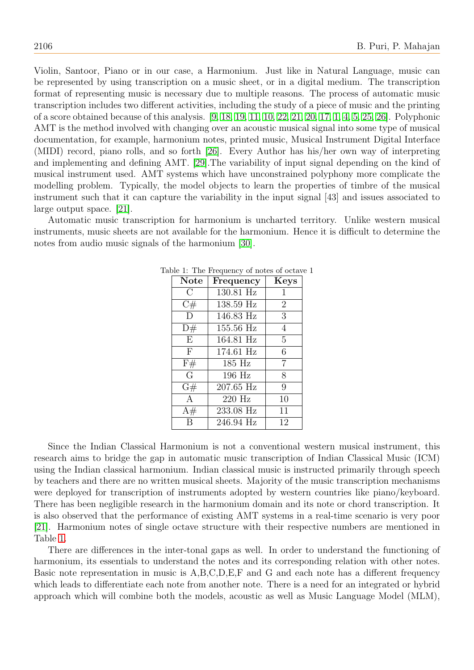Violin, Santoor, Piano or in our case, a Harmonium. Just like in Natural Language, music can be represented by using transcription on a music sheet, or in a digital medium. The transcription format of representing music is necessary due to multiple reasons. The process of automatic music transcription includes two different activities, including the study of a piece of music and the printing of a score obtained because of this analysis. [\[9,](#page-17-0) [18,](#page-17-1) [19,](#page-17-2) [11,](#page-17-3) [10,](#page-17-4) [22,](#page-17-5) [21,](#page-17-6) [20,](#page-17-7) [17,](#page-17-8) [1,](#page-16-0) [4,](#page-17-9) [5,](#page-17-10) [25,](#page-17-11) [26\]](#page-17-12). Polyphonic AMT is the method involved with changing over an acoustic musical signal into some type of musical documentation, for example, harmonium notes, printed music, Musical Instrument Digital Interface (MIDI) record, piano rolls, and so forth [\[26\]](#page-17-12). Every Author has his/her own way of interpreting and implementing and defining AMT. [\[29\]](#page-17-13).The variability of input signal depending on the kind of musical instrument used. AMT systems which have unconstrained polyphony more complicate the modelling problem. Typically, the model objects to learn the properties of timbre of the musical instrument such that it can capture the variability in the input signal [43] and issues associated to large output space. [\[21\]](#page-17-6).

<span id="page-1-0"></span>Automatic music transcription for harmonium is uncharted territory. Unlike western musical instruments, music sheets are not available for the harmonium. Hence it is difficult to determine the notes from audio music signals of the harmonium [\[30\]](#page-17-14).

| <b>Note</b>  | Frequency | <b>Keys</b>    |
|--------------|-----------|----------------|
| $\bigcap$    | 130.81 Hz | 1              |
| C#           | 138.59 Hz | $\overline{2}$ |
| D            | 146.83 Hz | 3              |
| D#           | 155.56 Hz | $\overline{4}$ |
| E            | 164.81 Hz | 5              |
| $\mathbf{F}$ | 174.61 Hz | 6              |
| F#           | 185 Hz    | 7              |
| $\Gamma$     | 196 Hz    | 8              |
| G#           | 207.65 Hz | 9              |
| $\mathsf{A}$ | $220$ Hz  | 10             |
| A#           | 233.08 Hz | 11             |
|              | 246.94 Hz | 12             |

Table 1: The Frequency of notes of octave 1

Since the Indian Classical Harmonium is not a conventional western musical instrument, this research aims to bridge the gap in automatic music transcription of Indian Classical Music (ICM) using the Indian classical harmonium. Indian classical music is instructed primarily through speech by teachers and there are no written musical sheets. Majority of the music transcription mechanisms were deployed for transcription of instruments adopted by western countries like piano/keyboard. There has been negligible research in the harmonium domain and its note or chord transcription. It is also observed that the performance of existing AMT systems in a real-time scenario is very poor [\[21\]](#page-17-6). Harmonium notes of single octave structure with their respective numbers are mentioned in Table [1.](#page-1-0)

There are differences in the inter-tonal gaps as well. In order to understand the functioning of harmonium, its essentials to understand the notes and its corresponding relation with other notes. Basic note representation in music is A,B,C,D,E,F and G and each note has a different frequency which leads to differentiate each note from another note. There is a need for an integrated or hybrid approach which will combine both the models, acoustic as well as Music Language Model (MLM),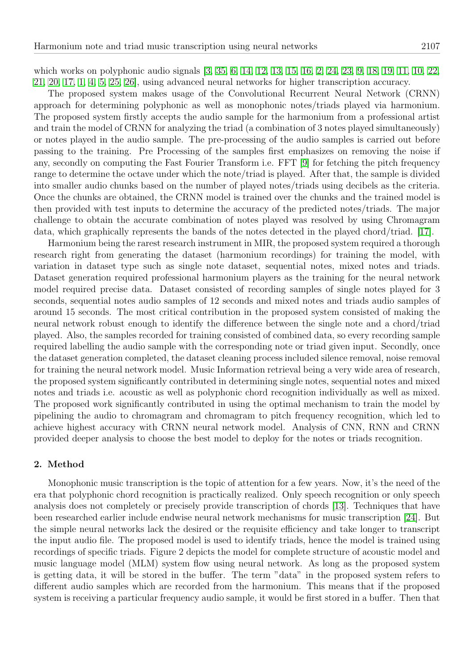which works on polyphonic audio signals [\[3,](#page-16-1) [35,](#page-18-0) [6,](#page-17-15) [14,](#page-17-16) [12,](#page-17-17) [13,](#page-17-18) [15,](#page-17-19) [16,](#page-17-20) [2,](#page-16-2) [24,](#page-17-21) [23,](#page-17-22) [9,](#page-17-0) [18,](#page-17-1) [19,](#page-17-2) [11,](#page-17-3) [10,](#page-17-4) [22,](#page-17-5) [21,](#page-17-6) [20,](#page-17-7) [17,](#page-17-8) [1,](#page-16-0) [4,](#page-17-9) [5,](#page-17-10) [25,](#page-17-11) [26\]](#page-17-12), using advanced neural networks for higher transcription accuracy.

The proposed system makes usage of the Convolutional Recurrent Neural Network (CRNN) approach for determining polyphonic as well as monophonic notes/triads played via harmonium. The proposed system firstly accepts the audio sample for the harmonium from a professional artist and train the model of CRNN for analyzing the triad (a combination of 3 notes played simultaneously) or notes played in the audio sample. The pre-processing of the audio samples is carried out before passing to the training. Pre Processing of the samples first emphasizes on removing the noise if any, secondly on computing the Fast Fourier Transform i.e. FFT [\[9\]](#page-17-0) for fetching the pitch frequency range to determine the octave under which the note/triad is played. After that, the sample is divided into smaller audio chunks based on the number of played notes/triads using decibels as the criteria. Once the chunks are obtained, the CRNN model is trained over the chunks and the trained model is then provided with test inputs to determine the accuracy of the predicted notes/triads. The major challenge to obtain the accurate combination of notes played was resolved by using Chromagram data, which graphically represents the bands of the notes detected in the played chord/triad. [\[17\]](#page-17-8).

Harmonium being the rarest research instrument in MIR, the proposed system required a thorough research right from generating the dataset (harmonium recordings) for training the model, with variation in dataset type such as single note dataset, sequential notes, mixed notes and triads. Dataset generation required professional harmonium players as the training for the neural network model required precise data. Dataset consisted of recording samples of single notes played for 3 seconds, sequential notes audio samples of 12 seconds and mixed notes and triads audio samples of around 15 seconds. The most critical contribution in the proposed system consisted of making the neural network robust enough to identify the difference between the single note and a chord/triad played. Also, the samples recorded for training consisted of combined data, so every recording sample required labelling the audio sample with the corresponding note or triad given input. Secondly, once the dataset generation completed, the dataset cleaning process included silence removal, noise removal for training the neural network model. Music Information retrieval being a very wide area of research, the proposed system significantly contributed in determining single notes, sequential notes and mixed notes and triads i.e. acoustic as well as polyphonic chord recognition individually as well as mixed. The proposed work significantly contributed in using the optimal mechanism to train the model by pipelining the audio to chromagram and chromagram to pitch frequency recognition, which led to achieve highest accuracy with CRNN neural network model. Analysis of CNN, RNN and CRNN provided deeper analysis to choose the best model to deploy for the notes or triads recognition.

## 2. Method

Monophonic music transcription is the topic of attention for a few years. Now, it's the need of the era that polyphonic chord recognition is practically realized. Only speech recognition or only speech analysis does not completely or precisely provide transcription of chords [\[13\]](#page-17-18). Techniques that have been researched earlier include endwise neural network mechanisms for music transcription [\[24\]](#page-17-21). But the simple neural networks lack the desired or the requisite efficiency and take longer to transcript the input audio file. The proposed model is used to identify triads, hence the model is trained using recordings of specific triads. Figure 2 depicts the model for complete structure of acoustic model and music language model (MLM) system flow using neural network. As long as the proposed system is getting data, it will be stored in the buffer. The term "data" in the proposed system refers to different audio samples which are recorded from the harmonium. This means that if the proposed system is receiving a particular frequency audio sample, it would be first stored in a buffer. Then that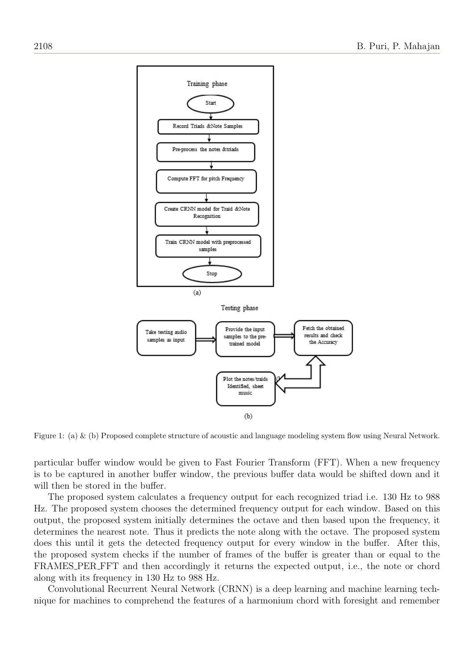

Figure 1: (a) & (b) Proposed complete structure of acoustic and language modeling system flow using Neural Network.

particular buffer window would be given to Fast Fourier Transform (FFT). When a new frequency is to be captured in another buffer window, the previous buffer data would be shifted down and it will then be stored in the buffer.

The proposed system calculates a frequency output for each recognized triad i.e. 130 Hz to 988 Hz. The proposed system chooses the determined frequency output for each window. Based on this output, the proposed system initially determines the octave and then based upon the frequency, it determines the nearest note. Thus it predicts the note along with the octave. The proposed system does this until it gets the detected frequency output for every window in the buffer. After this, the proposed system checks if the number of frames of the buffer is greater than or equal to the FRAMES PER FFT and then accordingly it returns the expected output, i.e., the note or chord along with its frequency in 130 Hz to 988 Hz.

Convolutional Recurrent Neural Network (CRNN) is a deep learning and machine learning technique for machines to comprehend the features of a harmonium chord with foresight and remember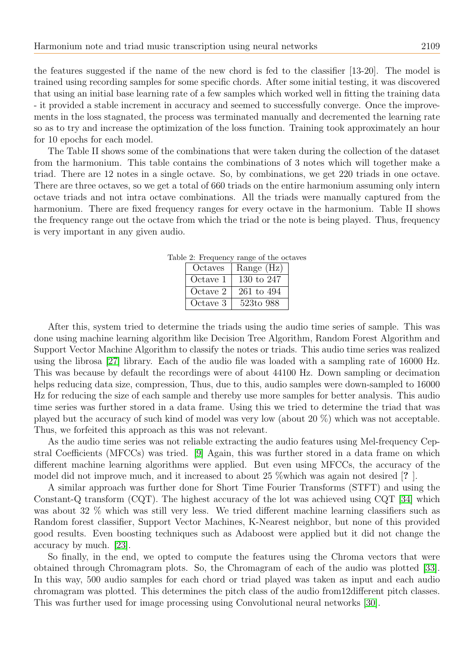the features suggested if the name of the new chord is fed to the classifier [13-20]. The model is trained using recording samples for some specific chords. After some initial testing, it was discovered that using an initial base learning rate of a few samples which worked well in fitting the training data - it provided a stable increment in accuracy and seemed to successfully converge. Once the improvements in the loss stagnated, the process was terminated manually and decremented the learning rate so as to try and increase the optimization of the loss function. Training took approximately an hour for 10 epochs for each model.

The Table II shows some of the combinations that were taken during the collection of the dataset from the harmonium. This table contains the combinations of 3 notes which will together make a triad. There are 12 notes in a single octave. So, by combinations, we get 220 triads in one octave. There are three octaves, so we get a total of 660 triads on the entire harmonium assuming only intern octave triads and not intra octave combinations. All the triads were manually captured from the harmonium. There are fixed frequency ranges for every octave in the harmonium. Table II shows the frequency range out the octave from which the triad or the note is being played. Thus, frequency is very important in any given audio.

| Octaves  | Range (Hz)     |
|----------|----------------|
| Octave 1 | 130 to 247     |
| Octave 2 | $261$ to $494$ |
| Octave 3 | 523to 988      |

Table 2: Frequency range of the octaves

After this, system tried to determine the triads using the audio time series of sample. This was done using machine learning algorithm like Decision Tree Algorithm, Random Forest Algorithm and Support Vector Machine Algorithm to classify the notes or triads. This audio time series was realized using the librosa [\[27\]](#page-17-23) library. Each of the audio file was loaded with a sampling rate of 16000 Hz. This was because by default the recordings were of about 44100 Hz. Down sampling or decimation helps reducing data size, compression, Thus, due to this, audio samples were down-sampled to 16000 Hz for reducing the size of each sample and thereby use more samples for better analysis. This audio time series was further stored in a data frame. Using this we tried to determine the triad that was played but the accuracy of such kind of model was very low (about 20 %) which was not acceptable. Thus, we forfeited this approach as this was not relevant.

As the audio time series was not reliable extracting the audio features using Mel-frequency Cepstral Coefficients (MFCCs) was tried. [\[9\]](#page-17-0) Again, this was further stored in a data frame on which different machine learning algorithms were applied. But even using MFCCs, the accuracy of the model did not improve much, and it increased to about 25 %which was again not desired [? ].

A similar approach was further done for Short Time Fourier Transforms (STFT) and using the Constant-Q transform (CQT). The highest accuracy of the lot was achieved using CQT [\[34\]](#page-18-1) which was about 32 % which was still very less. We tried different machine learning classifiers such as Random forest classifier, Support Vector Machines, K-Nearest neighbor, but none of this provided good results. Even boosting techniques such as Adaboost were applied but it did not change the accuracy by much. [\[23\]](#page-17-22).

So finally, in the end, we opted to compute the features using the Chroma vectors that were obtained through Chromagram plots. So, the Chromagram of each of the audio was plotted [\[33\]](#page-18-2). In this way, 500 audio samples for each chord or triad played was taken as input and each audio chromagram was plotted. This determines the pitch class of the audio from12different pitch classes. This was further used for image processing using Convolutional neural networks [\[30\]](#page-17-14).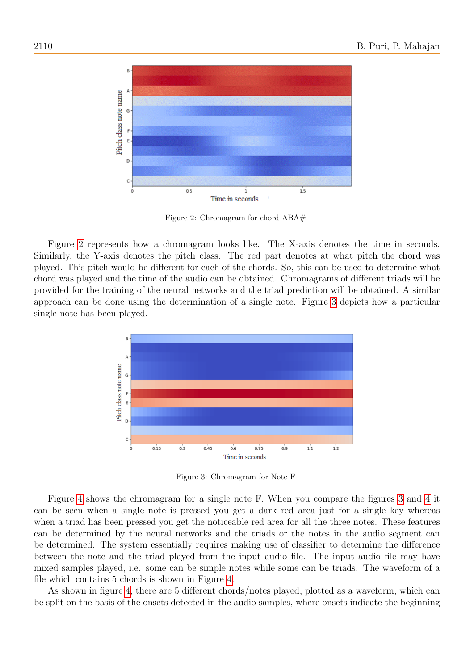

<span id="page-5-0"></span>Figure 2: Chromagram for chord ABA#

Figure [2](#page-5-0) represents how a chromagram looks like. The X-axis denotes the time in seconds. Similarly, the Y-axis denotes the pitch class. The red part denotes at what pitch the chord was played. This pitch would be different for each of the chords. So, this can be used to determine what chord was played and the time of the audio can be obtained. Chromagrams of different triads will be provided for the training of the neural networks and the triad prediction will be obtained. A similar approach can be done using the determination of a single note. Figure [3](#page-5-1) depicts how a particular single note has been played.



<span id="page-5-1"></span>Figure 3: Chromagram for Note F

Figure [4](#page-6-0) shows the chromagram for a single note F. When you compare the figures [3](#page-5-1) and [4](#page-6-0) it can be seen when a single note is pressed you get a dark red area just for a single key whereas when a triad has been pressed you get the noticeable red area for all the three notes. These features can be determined by the neural networks and the triads or the notes in the audio segment can be determined. The system essentially requires making use of classifier to determine the difference between the note and the triad played from the input audio file. The input audio file may have mixed samples played, i.e. some can be simple notes while some can be triads. The waveform of a file which contains 5 chords is shown in Figure [4.](#page-6-0)

As shown in figure [4,](#page-6-0) there are 5 different chords/notes played, plotted as a waveform, which can be split on the basis of the onsets detected in the audio samples, where onsets indicate the beginning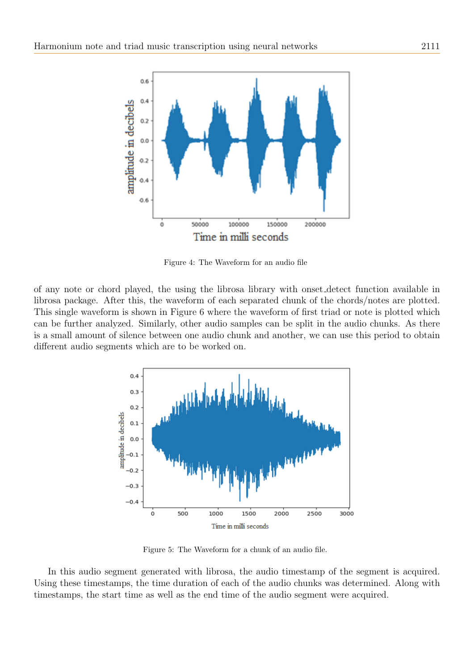

<span id="page-6-0"></span>Figure 4: The Waveform for an audio file

of any note or chord played, the using the librosa library with onset detect function available in librosa package. After this, the waveform of each separated chunk of the chords/notes are plotted. This single waveform is shown in Figure 6 where the waveform of first triad or note is plotted which can be further analyzed. Similarly, other audio samples can be split in the audio chunks. As there is a small amount of silence between one audio chunk and another, we can use this period to obtain different audio segments which are to be worked on.



Figure 5: The Waveform for a chunk of an audio file.

In this audio segment generated with librosa, the audio timestamp of the segment is acquired. Using these timestamps, the time duration of each of the audio chunks was determined. Along with timestamps, the start time as well as the end time of the audio segment were acquired.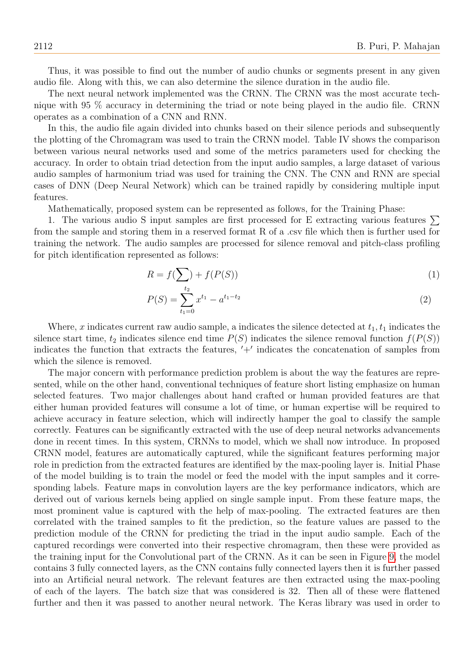Thus, it was possible to find out the number of audio chunks or segments present in any given audio file. Along with this, we can also determine the silence duration in the audio file.

The next neural network implemented was the CRNN. The CRNN was the most accurate technique with 95 % accuracy in determining the triad or note being played in the audio file. CRNN operates as a combination of a CNN and RNN.

In this, the audio file again divided into chunks based on their silence periods and subsequently the plotting of the Chromagram was used to train the CRNN model. Table IV shows the comparison between various neural networks used and some of the metrics parameters used for checking the accuracy. In order to obtain triad detection from the input audio samples, a large dataset of various audio samples of harmonium triad was used for training the CNN. The CNN and RNN are special cases of DNN (Deep Neural Network) which can be trained rapidly by considering multiple input features.

Mathematically, proposed system can be represented as follows, for the Training Phase:

1. The various audio S input samples are first processed for E extracting various features  $\Sigma$ from the sample and storing them in a reserved format R of a .csv file which then is further used for training the network. The audio samples are processed for silence removal and pitch-class profiling for pitch identification represented as follows:

$$
R = f(\sum) + f(P(S))
$$
\n<sup>(1)</sup>

$$
P(S) = \sum_{t_1=0}^{t_2} x^{t_1} - a^{t_1 - t_2} \tag{2}
$$

Where, x indicates current raw audio sample, a indicates the silence detected at  $t_1, t_1$  indicates the silence start time,  $t_2$  indicates silence end time  $P(S)$  indicates the silence removal function  $f(P(S))$ indicates the function that extracts the features, ′+′ indicates the concatenation of samples from which the silence is removed.

The major concern with performance prediction problem is about the way the features are represented, while on the other hand, conventional techniques of feature short listing emphasize on human selected features. Two major challenges about hand crafted or human provided features are that either human provided features will consume a lot of time, or human expertise will be required to achieve accuracy in feature selection, which will indirectly hamper the goal to classify the sample correctly. Features can be significantly extracted with the use of deep neural networks advancements done in recent times. In this system, CRNNs to model, which we shall now introduce. In proposed CRNN model, features are automatically captured, while the significant features performing major role in prediction from the extracted features are identified by the max-pooling layer is. Initial Phase of the model building is to train the model or feed the model with the input samples and it corresponding labels. Feature maps in convolution layers are the key performance indicators, which are derived out of various kernels being applied on single sample input. From these feature maps, the most prominent value is captured with the help of max-pooling. The extracted features are then correlated with the trained samples to fit the prediction, so the feature values are passed to the prediction module of the CRNN for predicting the triad in the input audio sample. Each of the captured recordings were converted into their respective chromagram, then these were provided as the training input for the Convolutional part of the CRNN. As it can be seen in Figure [9,](#page-14-0) the model contains 3 fully connected layers, as the CNN contains fully connected layers then it is further passed into an Artificial neural network. The relevant features are then extracted using the max-pooling of each of the layers. The batch size that was considered is 32. Then all of these were flattened further and then it was passed to another neural network. The Keras library was used in order to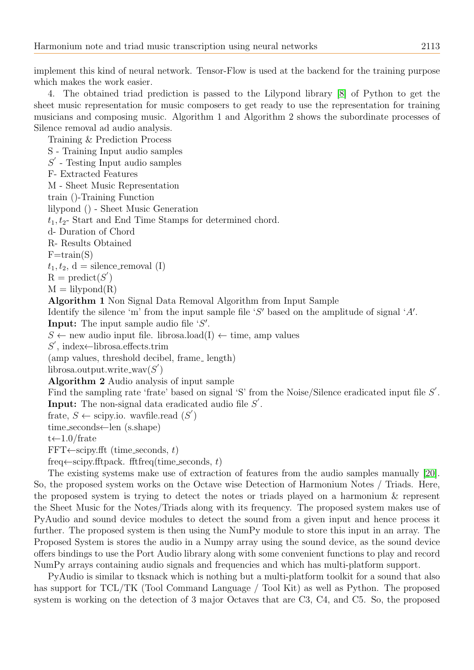implement this kind of neural network. Tensor-Flow is used at the backend for the training purpose which makes the work easier.

4. The obtained triad prediction is passed to the Lilypond library [\[8\]](#page-17-24) of Python to get the sheet music representation for music composers to get ready to use the representation for training musicians and composing music. Algorithm 1 and Algorithm 2 shows the subordinate processes of Silence removal ad audio analysis.

Training & Prediction Process S - Training Input audio samples  $S'$  - Testing Input audio samples F- Extracted Features M - Sheet Music Representation train ()-Training Function lilypond () - Sheet Music Generation  $t_1, t_2$ - Start and End Time Stamps for determined chord. d- Duration of Chord R- Results Obtained  $F=train(S)$  $t_1, t_2, d =$  silence\_removal (I)  $R = \text{predict}(S')$  $M = \text{lilypond}(R)$ Algorithm 1 Non Signal Data Removal Algorithm from Input Sample Identify the silence 'm' from the input sample file 'S' based on the amplitude of signal 'A'. Input: The input sample audio file 'S'.  $S \leftarrow$  new audio input file. librosa.load(I)  $\leftarrow$  time, amp values  $S'$ , index $\leftarrow$ librosa.effects.trim (amp values, threshold decibel, frame\_length)  $\text{librosa.output.write\_wav}(S')$ Algorithm 2 Audio analysis of input sample Find the sampling rate 'frate' based on signal 'S' from the Noise/Silence eradicated input file  $S'$ . **Input:** The non-signal data eradicated audio file  $S'$ . frate,  $S \leftarrow \text{scipy.io.}$  wavfile.read  $(S')$  $time\_seconds$  (s.shape)  $t \leftarrow 1.0$  frate  $FFT \leftarrow \text{scipy}.fft$  (time\_seconds, t)

freq←scipy.fftpack. fftfreq(time\_seconds, t)

The existing systems make use of extraction of features from the audio samples manually [\[20\]](#page-17-7). So, the proposed system works on the Octave wise Detection of Harmonium Notes / Triads. Here, the proposed system is trying to detect the notes or triads played on a harmonium & represent the Sheet Music for the Notes/Triads along with its frequency. The proposed system makes use of PyAudio and sound device modules to detect the sound from a given input and hence process it further. The proposed system is then using the NumPy module to store this input in an array. The Proposed System is stores the audio in a Numpy array using the sound device, as the sound device offers bindings to use the Port Audio library along with some convenient functions to play and record NumPy arrays containing audio signals and frequencies and which has multi-platform support.

PyAudio is similar to tksnack which is nothing but a multi-platform toolkit for a sound that also has support for TCL/TK (Tool Command Language / Tool Kit) as well as Python. The proposed system is working on the detection of 3 major Octaves that are C3, C4, and C5. So, the proposed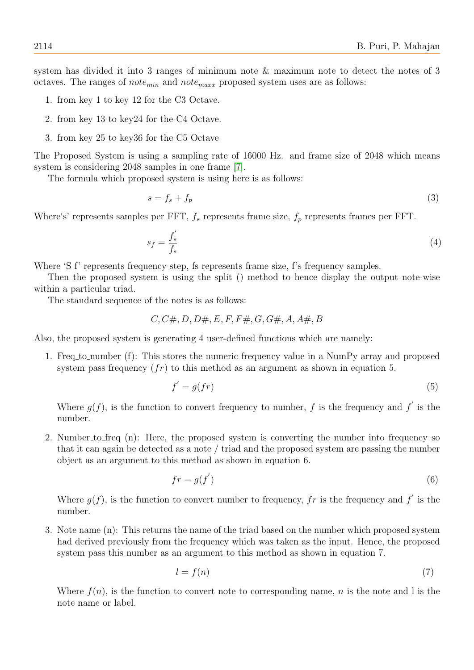system has divided it into 3 ranges of minimum note & maximum note to detect the notes of 3 octaves. The ranges of *note<sub>min</sub>* and *note<sub>maxx</sub>* proposed system uses are as follows:

- 1. from key 1 to key 12 for the C3 Octave.
- 2. from key 13 to key24 for the C4 Octave.
- 3. from key 25 to key36 for the C5 Octave

The Proposed System is using a sampling rate of 16000 Hz. and frame size of 2048 which means system is considering 2048 samples in one frame [\[7\]](#page-17-25).

The formula which proposed system is using here is as follows:

$$
s = f_s + f_p \tag{3}
$$

Where's' represents samples per FFT,  $f_s$  represents frame size,  $f_p$  represents frames per FFT.

$$
s_f = \frac{f'_s}{f_s} \tag{4}
$$

Where 'S f' represents frequency step, fs represents frame size, f's frequency samples.

Then the proposed system is using the split () method to hence display the output note-wise within a particular triad.

The standard sequence of the notes is as follows:

$$
C, C\#, D, D\#, E, F, F\#, G, G\#, A, A\#, B
$$

Also, the proposed system is generating 4 user-defined functions which are namely:

1. Freq to number (f): This stores the numeric frequency value in a NumPy array and proposed system pass frequency  $(fr)$  to this method as an argument as shown in equation 5.

$$
f' = g(fr) \tag{5}
$$

Where  $g(f)$ , is the function to convert frequency to number, f is the frequency and f' is the number.

2. Number to freq (n): Here, the proposed system is converting the number into frequency so that it can again be detected as a note / triad and the proposed system are passing the number object as an argument to this method as shown in equation 6.

$$
fr = g(f')\tag{6}
$$

Where  $g(f)$ , is the function to convert number to frequency, fr is the frequency and f' is the number.

3. Note name (n): This returns the name of the triad based on the number which proposed system had derived previously from the frequency which was taken as the input. Hence, the proposed system pass this number as an argument to this method as shown in equation 7.

$$
l = f(n) \tag{7}
$$

Where  $f(n)$ , is the function to convert note to corresponding name, n is the note and l is the note name or label.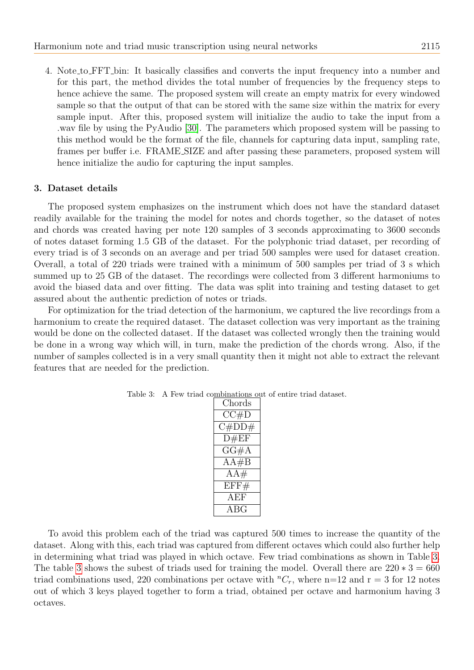4. Note to FFT bin: It basically classifies and converts the input frequency into a number and for this part, the method divides the total number of frequencies by the frequency steps to hence achieve the same. The proposed system will create an empty matrix for every windowed sample so that the output of that can be stored with the same size within the matrix for every sample input. After this, proposed system will initialize the audio to take the input from a .wav file by using the PyAudio [\[30\]](#page-17-14). The parameters which proposed system will be passing to this method would be the format of the file, channels for capturing data input, sampling rate, frames per buffer i.e. FRAME SIZE and after passing these parameters, proposed system will hence initialize the audio for capturing the input samples.

# 3. Dataset details

The proposed system emphasizes on the instrument which does not have the standard dataset readily available for the training the model for notes and chords together, so the dataset of notes and chords was created having per note 120 samples of 3 seconds approximating to 3600 seconds of notes dataset forming 1.5 GB of the dataset. For the polyphonic triad dataset, per recording of every triad is of 3 seconds on an average and per triad 500 samples were used for dataset creation. Overall, a total of 220 triads were trained with a minimum of 500 samples per triad of 3 s which summed up to 25 GB of the dataset. The recordings were collected from 3 different harmoniums to avoid the biased data and over fitting. The data was split into training and testing dataset to get assured about the authentic prediction of notes or triads.

<span id="page-10-0"></span>For optimization for the triad detection of the harmonium, we captured the live recordings from a harmonium to create the required dataset. The dataset collection was very important as the training would be done on the collected dataset. If the dataset was collected wrongly then the training would be done in a wrong way which will, in turn, make the prediction of the chords wrong. Also, if the number of samples collected is in a very small quantity then it might not able to extract the relevant features that are needed for the prediction.

| Chords |
|--------|
| CC#D   |
| C#DD#  |
| D#EF   |
| GG#A   |
| AA#B   |
| $AA\#$ |
| EFF#   |
| AEF    |
| ABG    |

Table 3: A Few triad combinations out of entire triad dataset.

To avoid this problem each of the triad was captured 500 times to increase the quantity of the dataset. Along with this, each triad was captured from different octaves which could also further help in determining what triad was played in which octave. Few triad combinations as shown in Table [3.](#page-10-0) The table [3](#page-10-0) shows the subest of triads used for training the model. Overall there are  $220 * 3 = 660$ triad combinations used, 220 combinations per octave with  ${}^nC_r$ , where n=12 and r = 3 for 12 notes out of which 3 keys played together to form a triad, obtained per octave and harmonium having 3 octaves.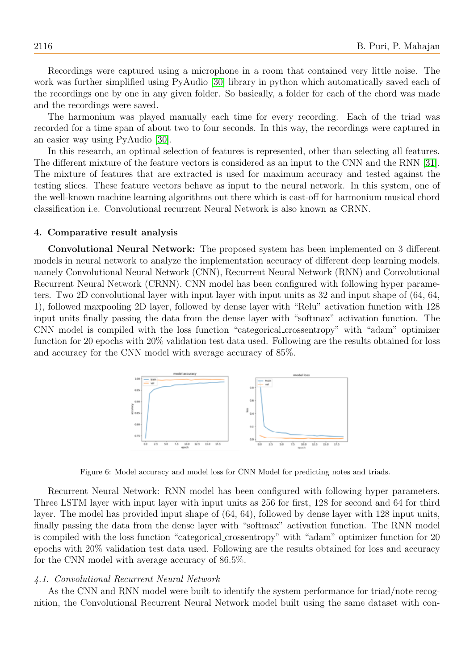Recordings were captured using a microphone in a room that contained very little noise. The work was further simplified using PyAudio [\[30\]](#page-17-14) library in python which automatically saved each of the recordings one by one in any given folder. So basically, a folder for each of the chord was made and the recordings were saved.

The harmonium was played manually each time for every recording. Each of the triad was recorded for a time span of about two to four seconds. In this way, the recordings were captured in an easier way using PyAudio [\[30\]](#page-17-14).

In this research, an optimal selection of features is represented, other than selecting all features. The different mixture of the feature vectors is considered as an input to the CNN and the RNN [\[31\]](#page-17-26). The mixture of features that are extracted is used for maximum accuracy and tested against the testing slices. These feature vectors behave as input to the neural network. In this system, one of the well-known machine learning algorithms out there which is cast-off for harmonium musical chord classification i.e. Convolutional recurrent Neural Network is also known as CRNN.

# 4. Comparative result analysis

Convolutional Neural Network: The proposed system has been implemented on 3 different models in neural network to analyze the implementation accuracy of different deep learning models, namely Convolutional Neural Network (CNN), Recurrent Neural Network (RNN) and Convolutional Recurrent Neural Network (CRNN). CNN model has been configured with following hyper parameters. Two 2D convolutional layer with input layer with input units as 32 and input shape of (64, 64, 1), followed maxpooling 2D layer, followed by dense layer with "Relu" activation function with 128 input units finally passing the data from the dense layer with "softmax" activation function. The CNN model is compiled with the loss function "categorical crossentropy" with "adam" optimizer function for 20 epochs with 20% validation test data used. Following are the results obtained for loss and accuracy for the CNN model with average accuracy of 85%.

<span id="page-11-0"></span>

Figure 6: Model accuracy and model loss for CNN Model for predicting notes and triads.

Recurrent Neural Network: RNN model has been configured with following hyper parameters. Three LSTM layer with input layer with input units as 256 for first, 128 for second and 64 for third layer. The model has provided input shape of (64, 64), followed by dense layer with 128 input units, finally passing the data from the dense layer with "softmax" activation function. The RNN model is compiled with the loss function "categorical crossentropy" with "adam" optimizer function for 20 epochs with 20% validation test data used. Following are the results obtained for loss and accuracy for the CNN model with average accuracy of 86.5%.

#### 4.1. Convolutional Recurrent Neural Network

As the CNN and RNN model were built to identify the system performance for triad/note recognition, the Convolutional Recurrent Neural Network model built using the same dataset with con-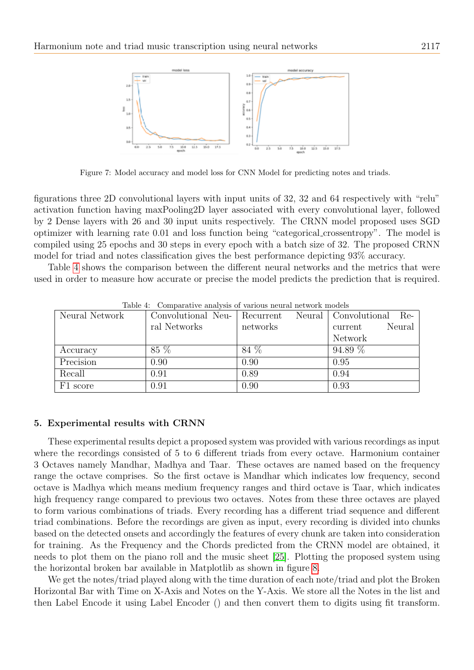

Figure 7: Model accuracy and model loss for CNN Model for predicting notes and triads.

figurations three 2D convolutional layers with input units of 32, 32 and 64 respectively with "relu" activation function having maxPooling2D layer associated with every convolutional layer, followed by 2 Dense layers with 26 and 30 input units respectively. The CRNN model proposed uses SGD optimizer with learning rate 0.01 and loss function being "categorical crossentropy". The model is compiled using 25 epochs and 30 steps in every epoch with a batch size of 32. The proposed CRNN model for triad and notes classification gives the best performance depicting 93% accuracy.

Table [4](#page-12-0) shows the comparison between the different neural networks and the metrics that were used in order to measure how accurate or precise the model predicts the prediction that is required.

<span id="page-12-0"></span>

| <b>Table 4.</b> Comparative analysis of various neural network models |              |                                                       |                   |  |  |  |  |  |
|-----------------------------------------------------------------------|--------------|-------------------------------------------------------|-------------------|--|--|--|--|--|
| Neural Network                                                        |              | Convolutional Neu-   Recurrent Neural   Convolutional | - Re-             |  |  |  |  |  |
|                                                                       | ral Networks | networks                                              | Neural<br>current |  |  |  |  |  |
|                                                                       |              |                                                       | Network           |  |  |  |  |  |
| Accuracy                                                              | 85 %         | 84 %                                                  | 94.89%            |  |  |  |  |  |
| Precision                                                             | 0.90         | 0.90                                                  | 0.95              |  |  |  |  |  |
| Recall                                                                | 0.91         | 0.89                                                  | 0.94              |  |  |  |  |  |
| F1 score                                                              | 0.91         | 0.90                                                  | 0.93              |  |  |  |  |  |

Table 4: Comparative analysis of various neural network models

## 5. Experimental results with CRNN

These experimental results depict a proposed system was provided with various recordings as input where the recordings consisted of 5 to 6 different triads from every octave. Harmonium container 3 Octaves namely Mandhar, Madhya and Taar. These octaves are named based on the frequency range the octave comprises. So the first octave is Mandhar which indicates low frequency, second octave is Madhya which means medium frequency ranges and third octave is Taar, which indicates high frequency range compared to previous two octaves. Notes from these three octaves are played to form various combinations of triads. Every recording has a different triad sequence and different triad combinations. Before the recordings are given as input, every recording is divided into chunks based on the detected onsets and accordingly the features of every chunk are taken into consideration for training. As the Frequency and the Chords predicted from the CRNN model are obtained, it needs to plot them on the piano roll and the music sheet [\[25\]](#page-17-11). Plotting the proposed system using the horizontal broken bar available in Matplotlib as shown in figure [8.](#page-13-0)

We get the notes/triad played along with the time duration of each note/triad and plot the Broken Horizontal Bar with Time on X-Axis and Notes on the Y-Axis. We store all the Notes in the list and then Label Encode it using Label Encoder () and then convert them to digits using fit transform.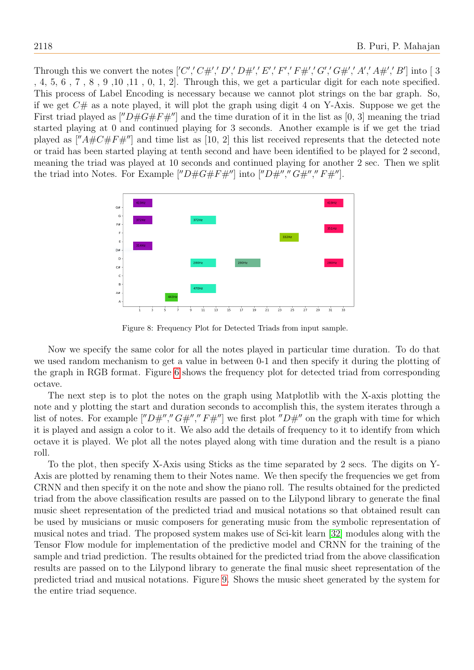Through this we convert the notes  $['C', 'C\#', 'D', 'D\#', 'E', 'F', 'F\#', 'G', 'G\#', 'A', 'A\#', 'B']$  into [3] , 4, 5, 6 , 7 , 8 , 9 ,10 ,11 , 0, 1, 2]. Through this, we get a particular digit for each note specified. This process of Label Encoding is necessary because we cannot plot strings on the bar graph. So, if we get  $C\#$  as a note played, it will plot the graph using digit 4 on Y-Axis. Suppose we get the First triad played as  $\vert\vert'D \# G \# F \#''\vert$  and the time duration of it in the list as [0, 3] meaning the triad started playing at 0 and continued playing for 3 seconds. Another example is if we get the triad played as  $\left[''A\#C\#F\#''\right]$  and time list as [10, 2] this list received represents that the detected note or traid has been started playing at tenth second and have been identified to be played for 2 second, meaning the triad was played at 10 seconds and continued playing for another 2 sec. Then we split the triad into Notes. For Example  $[''D \# G \# F \#'']$  into  $[''D \#''', "G \#'', "F \#'']$ .



<span id="page-13-0"></span>Figure 8: Frequency Plot for Detected Triads from input sample.

Now we specify the same color for all the notes played in particular time duration. To do that we used random mechanism to get a value in between 0-1 and then specify it during the plotting of the graph in RGB format. Figure [6](#page-11-0) shows the frequency plot for detected triad from corresponding octave.

The next step is to plot the notes on the graph using Matplotlib with the X-axis plotting the note and y plotting the start and duration seconds to accomplish this, the system iterates through a list of notes. For example [" $D#''$ ,"  $G#''$ ,"  $F#''$ ] we first plot " $D#''$  on the graph with time for which it is played and assign a color to it. We also add the details of frequency to it to identify from which octave it is played. We plot all the notes played along with time duration and the result is a piano roll.

To the plot, then specify X-Axis using Sticks as the time separated by 2 secs. The digits on Y-Axis are plotted by renaming them to their Notes name. We then specify the frequencies we get from CRNN and then specify it on the note and show the piano roll. The results obtained for the predicted triad from the above classification results are passed on to the Lilypond library to generate the final music sheet representation of the predicted triad and musical notations so that obtained result can be used by musicians or music composers for generating music from the symbolic representation of musical notes and triad. The proposed system makes use of Sci-kit learn [\[32\]](#page-17-27) modules along with the Tensor Flow module for implementation of the predictive model and CRNN for the training of the sample and triad prediction. The results obtained for the predicted triad from the above classification results are passed on to the Lilypond library to generate the final music sheet representation of the predicted triad and musical notations. Figure [9.](#page-14-0) Shows the music sheet generated by the system for the entire triad sequence.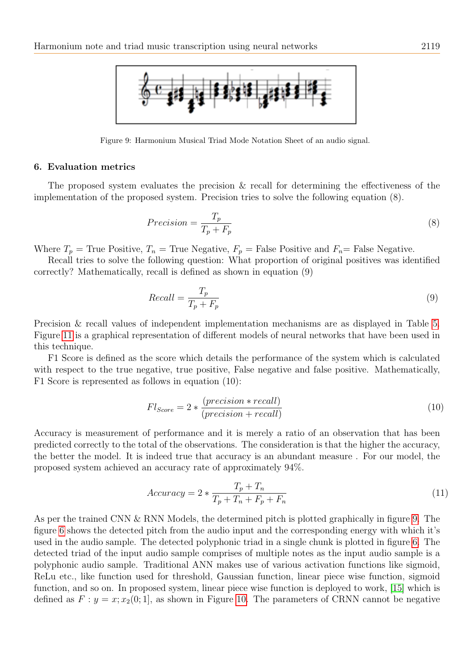

Figure 9: Harmonium Musical Triad Mode Notation Sheet of an audio signal.

### 6. Evaluation metrics

The proposed system evaluates the precision & recall for determining the effectiveness of the implementation of the proposed system. Precision tries to solve the following equation (8).

<span id="page-14-0"></span>
$$
Precision = \frac{T_p}{T_p + F_p} \tag{8}
$$

Where  $T_p$  = True Positive,  $T_n$  = True Negative,  $F_p$  = False Positive and  $F_n$  = False Negative.

Recall tries to solve the following question: What proportion of original positives was identified correctly? Mathematically, recall is defined as shown in equation (9)

$$
Recall = \frac{T_p}{T_p + F_p} \tag{9}
$$

Precision & recall values of independent implementation mechanisms are as displayed in Table [5.](#page-15-0) Figure [11](#page-16-3) is a graphical representation of different models of neural networks that have been used in this technique.

F1 Score is defined as the score which details the performance of the system which is calculated with respect to the true negative, true positive, False negative and false positive. Mathematically, F1 Score is represented as follows in equation (10):

$$
Fl_{Score} = 2 * \frac{(precision * recall)}{(precision + recall)}
$$
\n(10)

Accuracy is measurement of performance and it is merely a ratio of an observation that has been predicted correctly to the total of the observations. The consideration is that the higher the accuracy, the better the model. It is indeed true that accuracy is an abundant measure . For our model, the proposed system achieved an accuracy rate of approximately 94%.

$$
Accuracy = 2 * \frac{T_p + T_n}{T_p + T_n + F_p + F_n}
$$
\n
$$
(11)
$$

As per the trained CNN & RNN Models, the determined pitch is plotted graphically in figure [9.](#page-14-0) The figure [6](#page-11-0) shows the detected pitch from the audio input and the corresponding energy with which it's used in the audio sample. The detected polyphonic triad in a single chunk is plotted in figure [6.](#page-11-0) The detected triad of the input audio sample comprises of multiple notes as the input audio sample is a polyphonic audio sample. Traditional ANN makes use of various activation functions like sigmoid, ReLu etc., like function used for threshold, Gaussian function, linear piece wise function, sigmoid function, and so on. In proposed system, linear piece wise function is deployed to work, [\[15\]](#page-17-19) which is defined as  $F: y = x; x_2(0; 1]$ , as shown in Figure [10.](#page-15-1) The parameters of CRNN cannot be negative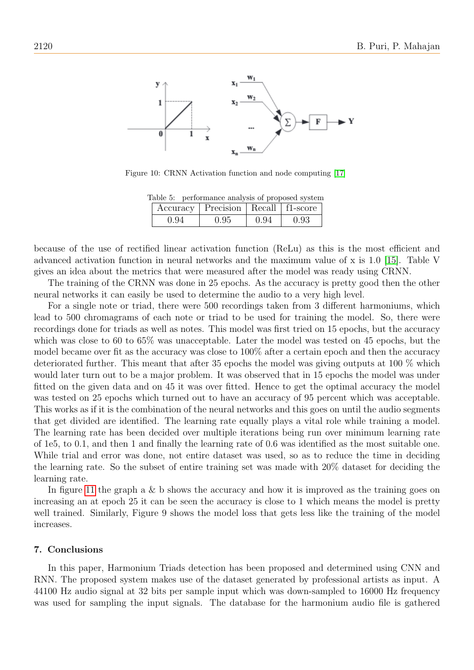

Figure 10: CRNN Activation function and node computing [\[17\]](#page-17-8)

Table 5: performance analysis of proposed system

<span id="page-15-1"></span>

|      | Accuracy   Precision   Recall   f1-score |      |      |
|------|------------------------------------------|------|------|
| 0.94 | 0.95                                     | 0.94 | 0.93 |

<span id="page-15-0"></span>because of the use of rectified linear activation function (ReLu) as this is the most efficient and advanced activation function in neural networks and the maximum value of x is 1.0 [\[15\]](#page-17-19). Table V gives an idea about the metrics that were measured after the model was ready using CRNN.

The training of the CRNN was done in 25 epochs. As the accuracy is pretty good then the other neural networks it can easily be used to determine the audio to a very high level.

For a single note or triad, there were 500 recordings taken from 3 different harmoniums, which lead to 500 chromagrams of each note or triad to be used for training the model. So, there were recordings done for triads as well as notes. This model was first tried on 15 epochs, but the accuracy which was close to 60 to 65% was unacceptable. Later the model was tested on 45 epochs, but the model became over fit as the accuracy was close to 100% after a certain epoch and then the accuracy deteriorated further. This meant that after 35 epochs the model was giving outputs at 100 % which would later turn out to be a major problem. It was observed that in 15 epochs the model was under fitted on the given data and on 45 it was over fitted. Hence to get the optimal accuracy the model was tested on 25 epochs which turned out to have an accuracy of 95 percent which was acceptable. This works as if it is the combination of the neural networks and this goes on until the audio segments that get divided are identified. The learning rate equally plays a vital role while training a model. The learning rate has been decided over multiple iterations being run over minimum learning rate of 1e5, to 0.1, and then 1 and finally the learning rate of 0.6 was identified as the most suitable one. While trial and error was done, not entire dataset was used, so as to reduce the time in deciding the learning rate. So the subset of entire training set was made with 20% dataset for deciding the learning rate.

In figure [11](#page-16-3) the graph a  $\&$  b shows the accuracy and how it is improved as the training goes on increasing an at epoch 25 it can be seen the accuracy is close to 1 which means the model is pretty well trained. Similarly, Figure 9 shows the model loss that gets less like the training of the model increases.

#### 7. Conclusions

In this paper, Harmonium Triads detection has been proposed and determined using CNN and RNN. The proposed system makes use of the dataset generated by professional artists as input. A 44100 Hz audio signal at 32 bits per sample input which was down-sampled to 16000 Hz frequency was used for sampling the input signals. The database for the harmonium audio file is gathered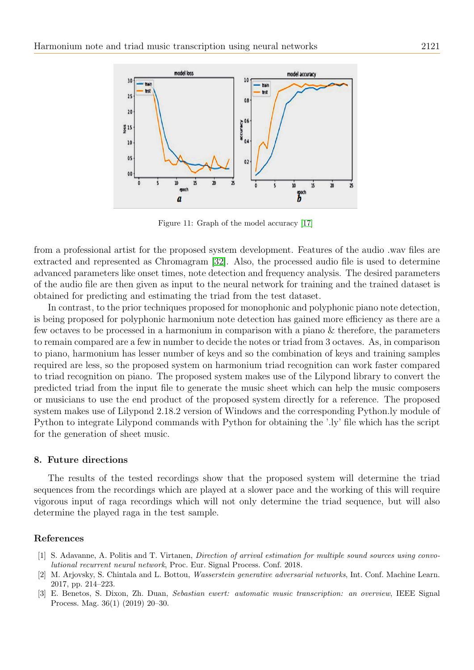

<span id="page-16-3"></span>Figure 11: Graph of the model accuracy [\[17\]](#page-17-8)

from a professional artist for the proposed system development. Features of the audio .wav files are extracted and represented as Chromagram [\[32\]](#page-17-27). Also, the processed audio file is used to determine advanced parameters like onset times, note detection and frequency analysis. The desired parameters of the audio file are then given as input to the neural network for training and the trained dataset is obtained for predicting and estimating the triad from the test dataset.

In contrast, to the prior techniques proposed for monophonic and polyphonic piano note detection, is being proposed for polyphonic harmonium note detection has gained more efficiency as there are a few octaves to be processed in a harmonium in comparison with a piano & therefore, the parameters to remain compared are a few in number to decide the notes or triad from 3 octaves. As, in comparison to piano, harmonium has lesser number of keys and so the combination of keys and training samples required are less, so the proposed system on harmonium triad recognition can work faster compared to triad recognition on piano. The proposed system makes use of the Lilypond library to convert the predicted triad from the input file to generate the music sheet which can help the music composers or musicians to use the end product of the proposed system directly for a reference. The proposed system makes use of Lilypond 2.18.2 version of Windows and the corresponding Python.ly module of Python to integrate Lilypond commands with Python for obtaining the '.ly' file which has the script for the generation of sheet music.

#### 8. Future directions

The results of the tested recordings show that the proposed system will determine the triad sequences from the recordings which are played at a slower pace and the working of this will require vigorous input of raga recordings which will not only determine the triad sequence, but will also determine the played raga in the test sample.

## References

- <span id="page-16-0"></span>[1] S. Adavanne, A. Politis and T. Virtanen, Direction of arrival estimation for multiple sound sources using convolutional recurrent neural network, Proc. Eur. Signal Process. Conf. 2018.
- <span id="page-16-2"></span>[2] M. Arjovsky, S. Chintala and L. Bottou, Wasserstein generative adversarial networks, Int. Conf. Machine Learn. 2017, pp. 214–223.
- <span id="page-16-1"></span>[3] E. Benetos, S. Dixon, Zh. Duan, Sebastian ewert: automatic music transcription: an overview, IEEE Signal Process. Mag. 36(1) (2019) 20–30.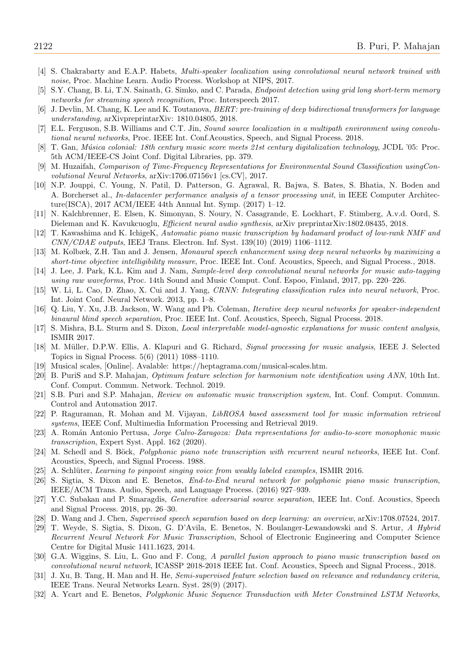- <span id="page-17-9"></span>[4] S. Chakrabarty and E.A.P. Habets, Multi-speaker localization using convolutional neural network trained with noise, Proc. Machine Learn. Audio Process. Workshop at NIPS, 2017.
- <span id="page-17-10"></span>[5] S.Y. Chang, B. Li, T.N. Sainath, G. Simko, and C. Parada, Endpoint detection using grid long short-term memory networks for streaming speech recognition, Proc. Interspeech 2017.
- <span id="page-17-15"></span>[6] J. Devlin, M. Chang, K. Lee and K. Toutanova, BERT: pre-training of deep bidirectional transformers for language understanding, arXivpreprintarXiv: 1810.04805, 2018.
- <span id="page-17-25"></span>[7] E.L. Ferguson, S.B. Williams and C.T. Jin, Sound source localization in a multipath environment using convolutional neural networks, Proc. IEEE Int. Conf.Acoustics, Speech, and Signal Process. 2018.
- <span id="page-17-24"></span>[8] T. Gan, Música colonial: 18th century music score meets 21st century digitalization technology, JCDL '05: Proc. 5th ACM/IEEE-CS Joint Conf. Digital Libraries, pp. 379.
- <span id="page-17-0"></span>[9] M. Huzaifah, Comparison of Time-Frequency Representations for Environmental Sound Classification usingConvolutional Neural Networks, arXiv:1706.07156v1 [cs.CV], 2017.
- <span id="page-17-4"></span>[10] N.P. Jouppi, C. Young, N. Patil, D. Patterson, G. Agrawal, R. Bajwa, S. Bates, S. Bhatia, N. Boden and A. Borcherset al., In-datacenter performance analysis of a tensor processing unit, in IEEE Computer Architecture(ISCA), 2017 ACM/IEEE 44th Annual Int. Symp. (2017) 1–12.
- <span id="page-17-3"></span>[11] N. Kalchbrenner, E. Elsen, K. Simonyan, S. Noury, N. Casagrande, E. Lockhart, F. Stimberg, A.v.d. Oord, S. Dieleman and K. Kavukcuoglu, Efficient neural audio synthesis, arXiv preprintarXiv:1802.08435, 2018.
- <span id="page-17-17"></span>[12] T. Kawashima and K. IchigeK, Automatic piano music transcription by hadamard product of low-rank NMF and  $CNN/CDAE$  outputs, IEEJ Trans. Electron. Inf. Syst. 139(10) (2019) 1106–1112.
- <span id="page-17-18"></span>[13] M. Kolbæk, Z.H. Tan and J. Jensen, Monaural speech enhancement using deep neural networks by maximizing a short-time objective intelligibility measure, Proc. IEEE Int. Conf. Acoustics, Speech, and Signal Process., 2018.
- <span id="page-17-16"></span>[14] J. Lee, J. Park, K.L. Kim and J. Nam, Sample-level deep convolutional neural networks for music auto-tagging using raw waveforms, Proc. 14th Sound and Music Comput. Conf. Espoo, Finland, 2017, pp. 220–226.
- <span id="page-17-19"></span>[15] W. Li, L. Cao, D. Zhao, X. Cui and J. Yang, CRNN: Integrating classification rules into neural network, Proc. Int. Joint Conf. Neural Network. 2013, pp. 1–8.
- <span id="page-17-20"></span>[16] Q. Liu, Y. Xu, J.B. Jackson, W. Wang and Ph. Coleman, Iterative deep neural networks for speaker-independent binaural blind speech separation, Proc. IEEE Int. Conf. Acoustics, Speech, Signal Process. 2018.
- <span id="page-17-8"></span>[17] S. Mishra, B.L. Sturm and S. Dixon, Local interpretable model-agnostic explanations for music content analysis, ISMIR 2017.
- <span id="page-17-1"></span>[18] M. Müller, D.P.W. Ellis, A. Klapuri and G. Richard, Signal processing for music analysis, IEEE J. Selected Topics in Signal Process. 5(6) (2011) 1088–1110.
- <span id="page-17-2"></span>[19] Musical scales, [Online]. Avalable: https://heptagrama.com/musical-scales.htm.
- <span id="page-17-7"></span>[20] B. PuriS and S.P. Mahajan, Optimum feature selection for harmonium note identification using ANN, 10th Int. Conf. Comput. Commun. Network. Technol. 2019.
- <span id="page-17-6"></span>[21] S.B. Puri and S.P. Mahajan, Review on automatic music transcription system, Int. Conf. Comput. Commun. Control and Automation 2017.
- <span id="page-17-5"></span>[22] P. Raguraman, R. Mohan and M. Vijayan, LibROSA based assessment tool for music information retrieval systems, IEEE Conf, Multimedia Information Processing and Retrieval 2019.
- <span id="page-17-22"></span>[23] A. Román Antonio Pertusa, Jorge Calvo-Zaragoza: Data representations for audio-to-score monophonic music transcription, Expert Syst. Appl. 162 (2020).
- <span id="page-17-21"></span>[24] M. Schedl and S. Böck, *Polyphonic piano note transcription with recurrent neural networks*, IEEE Int. Conf. Acoustics, Speech, and Signal Process. 1988.
- <span id="page-17-11"></span>[25] A. Schlüter, Learning to pinpoint singing voice from weakly labeled examples, ISMIR 2016.
- <span id="page-17-12"></span>[26] S. Sigtia, S. Dixon and E. Benetos, End-to-End neural network for polyphonic piano music transcription, IEEE/ACM Trans. Audio, Speech, and Language Process. (2016) 927–939.
- <span id="page-17-23"></span>[27] Y.C. Subakan and P. Smaragdis, Generative adversarial source separation, IEEE Int. Conf. Acoustics, Speech and Signal Process. 2018, pp. 26–30.
- [28] D. Wang and J. Chen, Supervised speech separation based on deep learning: an overview, arXiv:1708.07524, 2017.
- <span id="page-17-13"></span>[29] T. Weyde, S. Sigtia, S. Dixon, G. D'Avila, E. Benetos, N. Boulanger-Lewandowski and S. Artur, A Hybrid Recurrent Neural Network For Music Transcription, School of Electronic Engineering and Computer Science Centre for Digital Music 1411.1623, 2014.
- <span id="page-17-14"></span>[30] G.A. Wiggins, S. Liu, L. Guo and F. Cong, A parallel fusion approach to piano music transcription based on convolutional neural network, ICASSP 2018-2018 IEEE Int. Conf. Acoustics, Speech and Signal Process., 2018.
- <span id="page-17-26"></span>[31] J. Xu, B. Tang, H. Man and H. He, Semi-supervised feature selection based on relevance and redundancy criteria, IEEE Trans. Neural Networks Learn. Syst. 28(9) (2017).
- <span id="page-17-27"></span>[32] A. Ycart and E. Benetos, Polyphonic Music Sequence Transduction with Meter Constrained LSTM Networks,